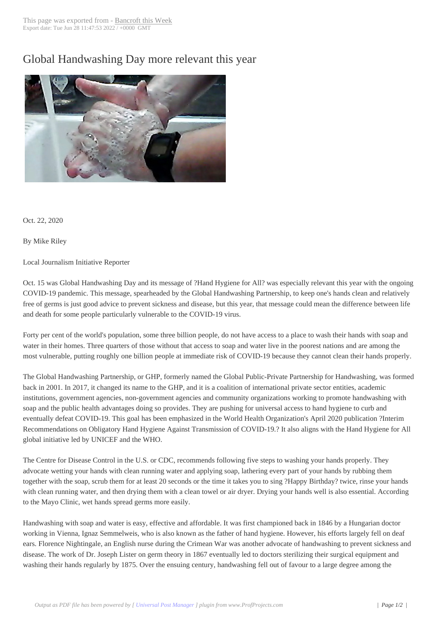## Global Handwashi[ng Day more](http://www.bancroftthisweek.com/?p=11016) relevant this year



Oct. 22, 2020

By Mike Riley

Local Journalism Initiative Reporter

Oct. 15 was Global Handwashing Day and its message of ?Hand Hygiene for All? was especially relevant this year with the ongoing COVID-19 pandemic. This message, spearheaded by the Global Handwashing Partnership, to keep one's hands clean and relatively free of germs is just good advice to prevent sickness and disease, but this year, that message could mean the difference between life and death for some people particularly vulnerable to the COVID-19 virus.

Forty per cent of the world's population, some three billion people, do not have access to a place to wash their hands with soap and water in their homes. Three quarters of those without that access to soap and water live in the poorest nations and are among the most vulnerable, putting roughly one billion people at immediate risk of COVID-19 because they cannot clean their hands properly.

The Global Handwashing Partnership, or GHP, formerly named the Global Public-Private Partnership for Handwashing, was formed back in 2001. In 2017, it changed its name to the GHP, and it is a coalition of international private sector entities, academic institutions, government agencies, non-government agencies and community organizations working to promote handwashing with soap and the public health advantages doing so provides. They are pushing for universal access to hand hygiene to curb and eventually defeat COVID-19. This goal has been emphasized in the World Health Organization's April 2020 publication ?Interim Recommendations on Obligatory Hand Hygiene Against Transmission of COVID-19.? It also aligns with the Hand Hygiene for All global initiative led by UNICEF and the WHO.

The Centre for Disease Control in the U.S. or CDC, recommends following five steps to washing your hands properly. They advocate wetting your hands with clean running water and applying soap, lathering every part of your hands by rubbing them together with the soap, scrub them for at least 20 seconds or the time it takes you to sing ?Happy Birthday? twice, rinse your hands with clean running water, and then drying them with a clean towel or air dryer. Drying your hands well is also essential. According to the Mayo Clinic, wet hands spread germs more easily.

Handwashing with soap and water is easy, effective and affordable. It was first championed back in 1846 by a Hungarian doctor working in Vienna, Ignaz Semmelweis, who is also known as the father of hand hygiene. However, his efforts largely fell on deaf ears. Florence Nightingale, an English nurse during the Crimean War was another advocate of handwashing to prevent sickness and disease. The work of Dr. Joseph Lister on germ theory in 1867 eventually led to doctors sterilizing their surgical equipment and washing their hands regularly by 1875. Over the ensuing century, handwashing fell out of favour to a large degree among the